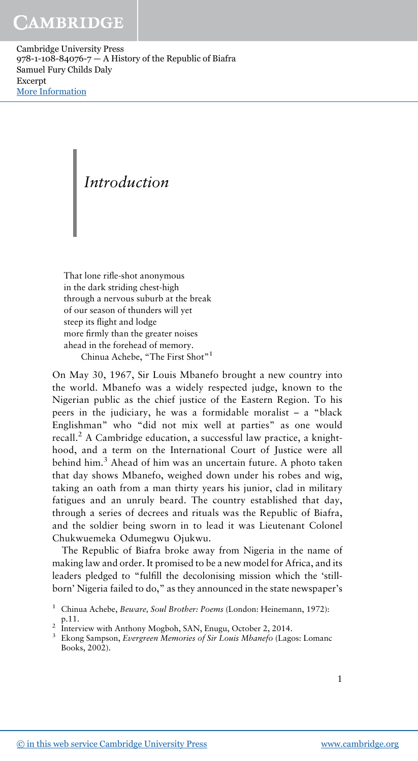Cambridge University Press  $978-1-108-84076-7$  – A History of the Republic of Biafra Samuel Fury Childs Daly Excerpt [More Information](www.cambridge.org/9781108840767)

# Introduction

That lone rifle-shot anonymous in the dark striding chest-high through a nervous suburb at the break of our season of thunders will yet steep its flight and lodge more firmly than the greater noises ahead in the forehead of memory. Chinua Achebe, "The First Shot"<sup>1</sup>

On May 30, 1967, Sir Louis Mbanefo brought a new country into the world. Mbanefo was a widely respected judge, known to the Nigerian public as the chief justice of the Eastern Region. To his peers in the judiciary, he was a formidable moralist – a "black Englishman" who "did not mix well at parties" as one would recall.<sup>2</sup> A Cambridge education, a successful law practice, a knighthood, and a term on the International Court of Justice were all behind him.<sup>3</sup> Ahead of him was an uncertain future. A photo taken that day shows Mbanefo, weighed down under his robes and wig, taking an oath from a man thirty years his junior, clad in military fatigues and an unruly beard. The country established that day, through a series of decrees and rituals was the Republic of Biafra, and the soldier being sworn in to lead it was Lieutenant Colonel Chukwuemeka Odumegwu Ojukwu.

The Republic of Biafra broke away from Nigeria in the name of making law and order. It promised to be a new model for Africa, and its leaders pledged to "fulfill the decolonising mission which the 'stillborn' Nigeria failed to do," as they announced in the state newspaper's

<sup>&</sup>lt;sup>1</sup> Chinua Achebe, *Beware, Soul Brother: Poems* (London: Heinemann, 1972): p.11.

<sup>&</sup>lt;sup>2</sup> Interview with Anthony Mogboh, SAN, Enugu, October 2, 2014.

<sup>&</sup>lt;sup>3</sup> Ekong Sampson, Evergreen Memories of Sir Louis Mbanefo (Lagos: Lomanc Books, 2002).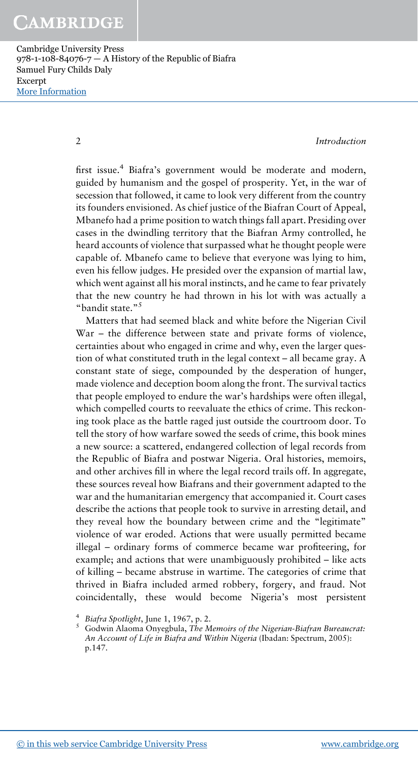Cambridge University Press  $978-1-108-84076-7$  – A History of the Republic of Biafra Samuel Fury Childs Daly Excerpt [More Information](www.cambridge.org/9781108840767)

2 Introduction

first issue.<sup>4</sup> Biafra's government would be moderate and modern, guided by humanism and the gospel of prosperity. Yet, in the war of secession that followed, it came to look very different from the country its founders envisioned. As chief justice of the Biafran Court of Appeal, Mbanefo had a prime position to watch things fall apart. Presiding over cases in the dwindling territory that the Biafran Army controlled, he heard accounts of violence that surpassed what he thought people were capable of. Mbanefo came to believe that everyone was lying to him, even his fellow judges. He presided over the expansion of martial law, which went against all his moral instincts, and he came to fear privately that the new country he had thrown in his lot with was actually a "bandit state."<sup>5</sup>

Matters that had seemed black and white before the Nigerian Civil War – the difference between state and private forms of violence, certainties about who engaged in crime and why, even the larger question of what constituted truth in the legal context – all became gray. A constant state of siege, compounded by the desperation of hunger, made violence and deception boom along the front. The survival tactics that people employed to endure the war's hardships were often illegal, which compelled courts to reevaluate the ethics of crime. This reckoning took place as the battle raged just outside the courtroom door. To tell the story of how warfare sowed the seeds of crime, this book mines a new source: a scattered, endangered collection of legal records from the Republic of Biafra and postwar Nigeria. Oral histories, memoirs, and other archives fill in where the legal record trails off. In aggregate, these sources reveal how Biafrans and their government adapted to the war and the humanitarian emergency that accompanied it. Court cases describe the actions that people took to survive in arresting detail, and they reveal how the boundary between crime and the "legitimate" violence of war eroded. Actions that were usually permitted became illegal – ordinary forms of commerce became war profiteering, for example; and actions that were unambiguously prohibited – like acts of killing – became abstruse in wartime. The categories of crime that thrived in Biafra included armed robbery, forgery, and fraud. Not coincidentally, these would become Nigeria's most persistent

<sup>4</sup> Biafra Spotlight, June 1, 1967, p. 2.

<sup>5</sup> Godwin Alaoma Onyegbula, The Memoirs of the Nigerian-Biafran Bureaucrat: An Account of Life in Biafra and Within Nigeria (Ibadan: Spectrum, 2005): p.147.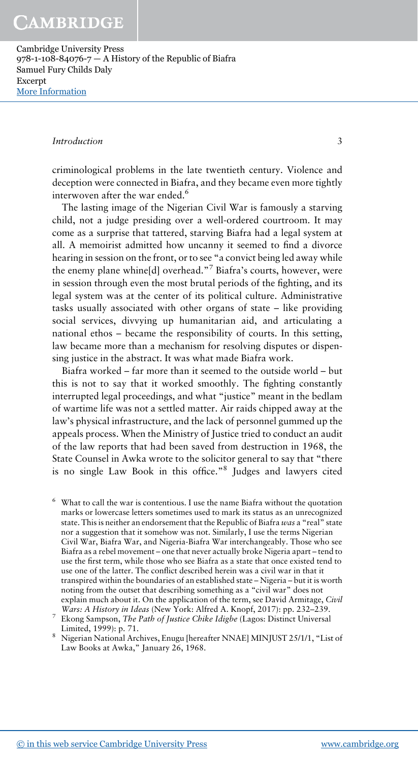Cambridge University Press  $978-1-108-84076-7$  – A History of the Republic of Biafra Samuel Fury Childs Daly Excerpt [More Information](www.cambridge.org/9781108840767)

#### Introduction 3

criminological problems in the late twentieth century. Violence and deception were connected in Biafra, and they became even more tightly interwoven after the war ended.<sup>6</sup>

The lasting image of the Nigerian Civil War is famously a starving child, not a judge presiding over a well-ordered courtroom. It may come as a surprise that tattered, starving Biafra had a legal system at all. A memoirist admitted how uncanny it seemed to find a divorce hearing in session on the front, or to see "a convict being led away while the enemy plane whine[d] overhead."<sup>7</sup> Biafra's courts, however, were in session through even the most brutal periods of the fighting, and its legal system was at the center of its political culture. Administrative tasks usually associated with other organs of state – like providing social services, divvying up humanitarian aid, and articulating a national ethos – became the responsibility of courts. In this setting, law became more than a mechanism for resolving disputes or dispensing justice in the abstract. It was what made Biafra work.

Biafra worked – far more than it seemed to the outside world – but this is not to say that it worked smoothly. The fighting constantly interrupted legal proceedings, and what "justice" meant in the bedlam of wartime life was not a settled matter. Air raids chipped away at the law's physical infrastructure, and the lack of personnel gummed up the appeals process. When the Ministry of Justice tried to conduct an audit of the law reports that had been saved from destruction in 1968, the State Counsel in Awka wrote to the solicitor general to say that "there is no single Law Book in this office."<sup>8</sup> Judges and lawyers cited

 $6$  What to call the war is contentious. I use the name Biafra without the quotation marks or lowercase letters sometimes used to mark its status as an unrecognized state. This is neither an endorsement that the Republic of Biafra was a "real" state nor a suggestion that it somehow was not. Similarly, I use the terms Nigerian Civil War, Biafra War, and Nigeria-Biafra War interchangeably. Those who see Biafra as a rebel movement – one that never actually broke Nigeria apart – tend to use the first term, while those who see Biafra as a state that once existed tend to use one of the latter. The conflict described herein was a civil war in that it transpired within the boundaries of an established state – Nigeria – but it is worth noting from the outset that describing something as a "civil war" does not explain much about it. On the application of the term, see David Armitage, Civil Wars: A History in Ideas (New York: Alfred A. Knopf, 2017): pp. 232–239.

 $7$  Ekong Sampson, The Path of Justice Chike Idigbe (Lagos: Distinct Universal Limited, 1999): p. 71.

<sup>8</sup> Nigerian National Archives, Enugu [hereafter NNAE] MINJUST 25/1/1, "List of Law Books at Awka," January 26, 1968.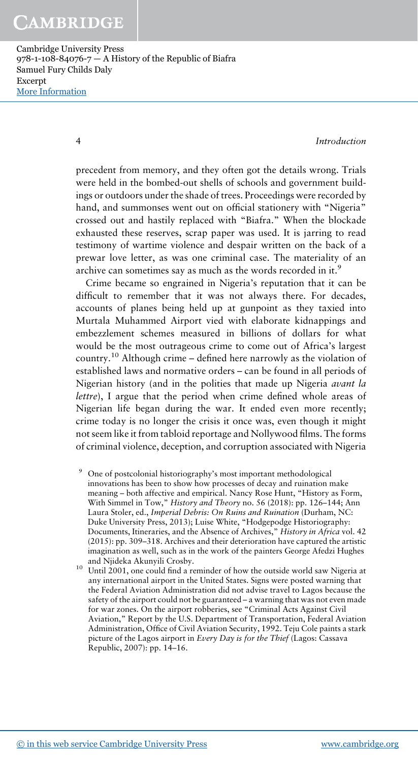Cambridge University Press  $978-1-108-84076-7$  – A History of the Republic of Biafra Samuel Fury Childs Daly Excerpt [More Information](www.cambridge.org/9781108840767)

4 Introduction

precedent from memory, and they often got the details wrong. Trials were held in the bombed-out shells of schools and government buildings or outdoors under the shade of trees. Proceedings were recorded by hand, and summonses went out on official stationery with "Nigeria" crossed out and hastily replaced with "Biafra." When the blockade exhausted these reserves, scrap paper was used. It is jarring to read testimony of wartime violence and despair written on the back of a prewar love letter, as was one criminal case. The materiality of an archive can sometimes say as much as the words recorded in it.<sup>9</sup>

Crime became so engrained in Nigeria's reputation that it can be difficult to remember that it was not always there. For decades, accounts of planes being held up at gunpoint as they taxied into Murtala Muhammed Airport vied with elaborate kidnappings and embezzlement schemes measured in billions of dollars for what would be the most outrageous crime to come out of Africa's largest country.<sup>10</sup> Although crime – defined here narrowly as the violation of established laws and normative orders – can be found in all periods of Nigerian history (and in the polities that made up Nigeria avant la lettre), I argue that the period when crime defined whole areas of Nigerian life began during the war. It ended even more recently; crime today is no longer the crisis it once was, even though it might not seem like it from tabloid reportage and Nollywood films. The forms of criminal violence, deception, and corruption associated with Nigeria

- <sup>9</sup> One of postcolonial historiography's most important methodological innovations has been to show how processes of decay and ruination make meaning – both affective and empirical. Nancy Rose Hunt, "History as Form, With Simmel in Tow," History and Theory no. 56 (2018): pp. 126–144; Ann Laura Stoler, ed., Imperial Debris: On Ruins and Ruination (Durham, NC: Duke University Press, 2013); Luise White, "Hodgepodge Historiography: Documents, Itineraries, and the Absence of Archives," History in Africa vol. 42 (2015): pp. 309–318. Archives and their deterioration have captured the artistic imagination as well, such as in the work of the painters George Afedzi Hughes and Njideka Akunyili Crosby.
- <sup>10</sup> Until 2001, one could find a reminder of how the outside world saw Nigeria at any international airport in the United States. Signs were posted warning that the Federal Aviation Administration did not advise travel to Lagos because the safety of the airport could not be guaranteed – a warning that was not even made for war zones. On the airport robberies, see "Criminal Acts Against Civil Aviation," Report by the U.S. Department of Transportation, Federal Aviation Administration, Office of Civil Aviation Security, 1992. Teju Cole paints a stark picture of the Lagos airport in Every Day is for the Thief (Lagos: Cassava Republic, 2007): pp. 14–16.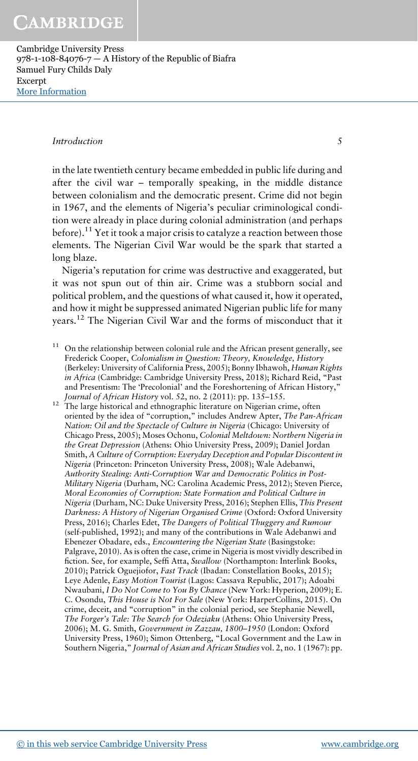Cambridge University Press  $978-1-108-84076-7$  – A History of the Republic of Biafra Samuel Fury Childs Daly Excerpt [More Information](www.cambridge.org/9781108840767)

#### Introduction 5

in the late twentieth century became embedded in public life during and after the civil war – temporally speaking, in the middle distance between colonialism and the democratic present. Crime did not begin in 1967, and the elements of Nigeria's peculiar criminological condition were already in place during colonial administration (and perhaps before).<sup>11</sup> Yet it took a major crisis to catalyze a reaction between those elements. The Nigerian Civil War would be the spark that started a long blaze.

Nigeria's reputation for crime was destructive and exaggerated, but it was not spun out of thin air. Crime was a stubborn social and political problem, and the questions of what caused it, how it operated, and how it might be suppressed animated Nigerian public life for many years.<sup>12</sup> The Nigerian Civil War and the forms of misconduct that it

 $11$  On the relationship between colonial rule and the African present generally, see Frederick Cooper, Colonialism in Question: Theory, Knowledge, History (Berkeley: University of California Press, 2005); Bonny Ibhawoh, Human Rights in Africa (Cambridge: Cambridge University Press, 2018); Richard Reid, "Past and Presentism: The 'Precolonial' and the Foreshortening of African History," Journal of African History vol. 52, no. 2 (2011): pp. 135–155.

 $12$  The large historical and ethnographic literature on Nigerian crime, often oriented by the idea of "corruption," includes Andrew Apter, The Pan-African Nation: Oil and the Spectacle of Culture in Nigeria (Chicago: University of Chicago Press, 2005); Moses Ochonu, Colonial Meltdown: Northern Nigeria in the Great Depression (Athens: Ohio University Press, 2009); Daniel Jordan Smith, A Culture of Corruption: Everyday Deception and Popular Discontent in Nigeria (Princeton: Princeton University Press, 2008); Wale Adebanwi, Authority Stealing: Anti-Corruption War and Democratic Politics in Post-Military Nigeria (Durham, NC: Carolina Academic Press, 2012); Steven Pierce, Moral Economies of Corruption: State Formation and Political Culture in Nigeria (Durham, NC: Duke University Press, 2016); Stephen Ellis, This Present Darkness: A History of Nigerian Organised Crime (Oxford: Oxford University Press, 2016); Charles Edet, The Dangers of Political Thuggery and Rumour (self-published, 1992); and many of the contributions in Wale Adebanwi and Ebenezer Obadare, eds., Encountering the Nigerian State (Basingstoke: Palgrave, 2010). As is often the case, crime in Nigeria is most vividly described in fiction. See, for example, Seffi Atta, Swallow (Northampton: Interlink Books, 2010); Patrick Oguejiofor, Fast Track (Ibadan: Constellation Books, 2015); Leye Adenle, Easy Motion Tourist (Lagos: Cassava Republic, 2017); Adoabi Nwaubani, I Do Not Come to You By Chance (New York: Hyperion, 2009); E. C. Osondu, This House is Not For Sale (New York: HarperCollins, 2015). On crime, deceit, and "corruption" in the colonial period, see Stephanie Newell, The Forger's Tale: The Search for Odeziaku (Athens: Ohio University Press, 2006); M. G. Smith, Government in Zazzau, 1800–1950 (London: Oxford University Press, 1960); Simon Ottenberg, "Local Government and the Law in Southern Nigeria," Journal of Asian and African Studies vol. 2, no. 1 (1967): pp.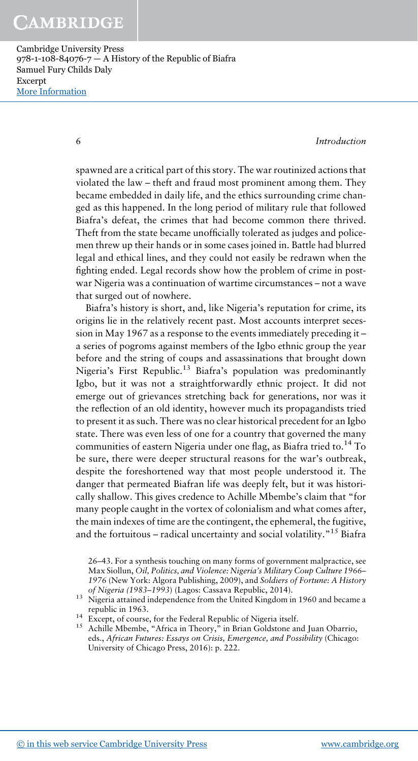Cambridge University Press  $978-1-108-84076-7$  – A History of the Republic of Biafra Samuel Fury Childs Daly Excerpt [More Information](www.cambridge.org/9781108840767)

6 Introduction

spawned are a critical part of this story. The war routinized actions that violated the law – theft and fraud most prominent among them. They became embedded in daily life, and the ethics surrounding crime changed as this happened. In the long period of military rule that followed Biafra's defeat, the crimes that had become common there thrived. Theft from the state became unofficially tolerated as judges and policemen threw up their hands or in some cases joined in. Battle had blurred legal and ethical lines, and they could not easily be redrawn when the fighting ended. Legal records show how the problem of crime in postwar Nigeria was a continuation of wartime circumstances – not a wave that surged out of nowhere.

Biafra's history is short, and, like Nigeria's reputation for crime, its origins lie in the relatively recent past. Most accounts interpret secession in May 1967 as a response to the events immediately preceding it – a series of pogroms against members of the Igbo ethnic group the year before and the string of coups and assassinations that brought down Nigeria's First Republic.<sup>13</sup> Biafra's population was predominantly Igbo, but it was not a straightforwardly ethnic project. It did not emerge out of grievances stretching back for generations, nor was it the reflection of an old identity, however much its propagandists tried to present it as such. There was no clear historical precedent for an Igbo state. There was even less of one for a country that governed the many communities of eastern Nigeria under one flag, as Biafra tried to. $^{14}$  To be sure, there were deeper structural reasons for the war's outbreak, despite the foreshortened way that most people understood it. The danger that permeated Biafran life was deeply felt, but it was historically shallow. This gives credence to Achille Mbembe's claim that "for many people caught in the vortex of colonialism and what comes after, the main indexes of time are the contingent, the ephemeral, the fugitive, and the fortuitous - radical uncertainty and social volatility."<sup>15</sup> Biafra

<sup>26</sup>–43. For a synthesis touching on many forms of government malpractice, see Max Siollun, Oil, Politics, and Violence: Nigeria's Military Coup Culture 1966– 1976 (New York: Algora Publishing, 2009), and Soldiers of Fortune: A History of Nigeria (1983–1993) (Lagos: Cassava Republic, 2014).

<sup>&</sup>lt;sup>13</sup> Nigeria attained independence from the United Kingdom in 1960 and became a republic in 1963.

<sup>14</sup> Except, of course, for the Federal Republic of Nigeria itself.

<sup>15</sup> Achille Mbembe, "Africa in Theory," in Brian Goldstone and Juan Obarrio, eds., African Futures: Essays on Crisis, Emergence, and Possibility (Chicago: University of Chicago Press, 2016): p. 222.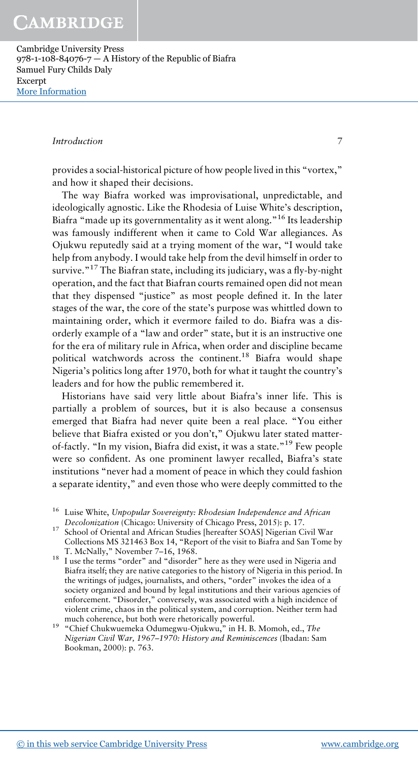Cambridge University Press  $978-1-108-84076-7$  – A History of the Republic of Biafra Samuel Fury Childs Daly Excerpt [More Information](www.cambridge.org/9781108840767)

#### Introduction 7

provides a social-historical picture of how people lived in this "vortex," and how it shaped their decisions.

The way Biafra worked was improvisational, unpredictable, and ideologically agnostic. Like the Rhodesia of Luise White's description, Biafra "made up its governmentality as it went along."<sup>16</sup> Its leadership was famously indifferent when it came to Cold War allegiances. As Ojukwu reputedly said at a trying moment of the war, "I would take help from anybody. I would take help from the devil himself in order to survive."<sup>17</sup> The Biafran state, including its judiciary, was a fly-by-night operation, and the fact that Biafran courts remained open did not mean that they dispensed "justice" as most people defined it. In the later stages of the war, the core of the state's purpose was whittled down to maintaining order, which it evermore failed to do. Biafra was a disorderly example of a "law and order" state, but it is an instructive one for the era of military rule in Africa, when order and discipline became political watchwords across the continent.<sup>18</sup> Biafra would shape Nigeria's politics long after 1970, both for what it taught the country's leaders and for how the public remembered it.

Historians have said very little about Biafra's inner life. This is partially a problem of sources, but it is also because a consensus emerged that Biafra had never quite been a real place. "You either believe that Biafra existed or you don't," Ojukwu later stated matterof-factly. "In my vision, Biafra did exist, it was a state."<sup>19</sup> Few people were so confident. As one prominent lawyer recalled, Biafra's state institutions "never had a moment of peace in which they could fashion a separate identity," and even those who were deeply committed to the

<sup>17</sup> School of Oriental and African Studies [hereafter SOAS] Nigerian Civil War Collections MS 321463 Box 14, "Report of the visit to Biafra and San Tome by T. McNally," November 7–16, 1968.

<sup>18</sup> I use the terms "order" and "disorder" here as they were used in Nigeria and Biafra itself; they are native categories to the history of Nigeria in this period. In the writings of judges, journalists, and others, "order" invokes the idea of a society organized and bound by legal institutions and their various agencies of enforcement. "Disorder," conversely, was associated with a high incidence of violent crime, chaos in the political system, and corruption. Neither term had much coherence, but both were rhetorically powerful.

<sup>&</sup>lt;sup>16</sup> Luise White, Unpopular Sovereignty: Rhodesian Independence and African Decolonization (Chicago: University of Chicago Press, 2015): p. 17.

<sup>19</sup> "Chief Chukwuemeka Odumegwu-Ojukwu," in H. B. Momoh, ed., The Nigerian Civil War, 1967–1970: History and Reminiscences (Ibadan: Sam Bookman, 2000): p. 763.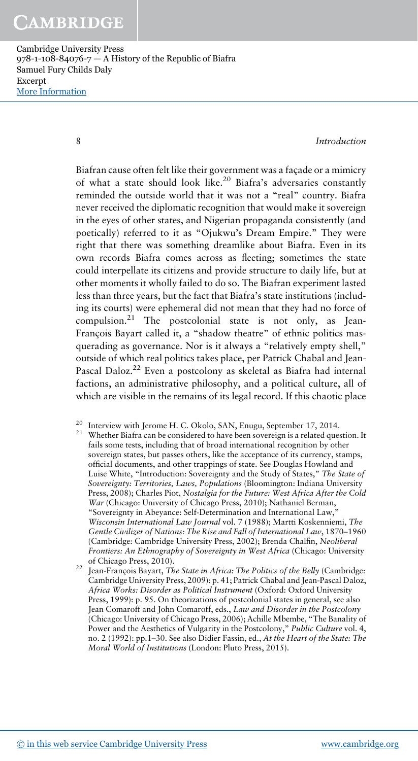Cambridge University Press  $978-1-108-84076-7$  – A History of the Republic of Biafra Samuel Fury Childs Daly Excerpt [More Information](www.cambridge.org/9781108840767)

8 Introduction

Biafran cause often felt like their government was a façade or a mimicry of what a state should look like.<sup>20</sup> Biafra's adversaries constantly reminded the outside world that it was not a "real" country. Biafra never received the diplomatic recognition that would make it sovereign in the eyes of other states, and Nigerian propaganda consistently (and poetically) referred to it as "Ojukwu's Dream Empire." They were right that there was something dreamlike about Biafra. Even in its own records Biafra comes across as fleeting; sometimes the state could interpellate its citizens and provide structure to daily life, but at other moments it wholly failed to do so. The Biafran experiment lasted less than three years, but the fact that Biafra's state institutions (including its courts) were ephemeral did not mean that they had no force of compulsion.<sup>21</sup> The postcolonial state is not only, as Jean-François Bayart called it, a "shadow theatre" of ethnic politics masquerading as governance. Nor is it always a "relatively empty shell," outside of which real politics takes place, per Patrick Chabal and Jean-Pascal Daloz.<sup>22</sup> Even a postcolony as skeletal as Biafra had internal factions, an administrative philosophy, and a political culture, all of which are visible in the remains of its legal record. If this chaotic place

<sup>20</sup> Interview with Jerome H. C. Okolo, SAN, Enugu, September 17, 2014.

- $^{21}\,$  Whether Biafra can be considered to have been sovereign is a related question. It fails some tests, including that of broad international recognition by other sovereign states, but passes others, like the acceptance of its currency, stamps, official documents, and other trappings of state. See Douglas Howland and Luise White, "Introduction: Sovereignty and the Study of States," The State of Sovereignty: Territories, Laws, Populations (Bloomington: Indiana University Press, 2008); Charles Piot, Nostalgia for the Future: West Africa After the Cold War (Chicago: University of Chicago Press, 2010); Nathaniel Berman, "Sovereignty in Abeyance: Self-Determination and International Law," Wisconsin International Law Journal vol. 7 (1988); Martti Koskenniemi, The Gentle Civilizer of Nations: The Rise and Fall of International Law, 1870–1960 (Cambridge: Cambridge University Press, 2002); Brenda Chalfin, Neoliberal Frontiers: An Ethnography of Sovereignty in West Africa (Chicago: University of Chicago Press, 2010).
- <sup>22</sup> Jean-François Bayart, The State in Africa: The Politics of the Belly (Cambridge: Cambridge University Press, 2009): p. 41; Patrick Chabal and Jean-Pascal Daloz, Africa Works: Disorder as Political Instrument (Oxford: Oxford University Press, 1999): p. 95. On theorizations of postcolonial states in general, see also Jean Comaroff and John Comaroff, eds., Law and Disorder in the Postcolony (Chicago: University of Chicago Press, 2006); Achille Mbembe, "The Banality of Power and the Aesthetics of Vulgarity in the Postcolony," Public Culture vol. 4, no. 2 (1992): pp.1–30. See also Didier Fassin, ed., At the Heart of the State: The Moral World of Institutions (London: Pluto Press, 2015).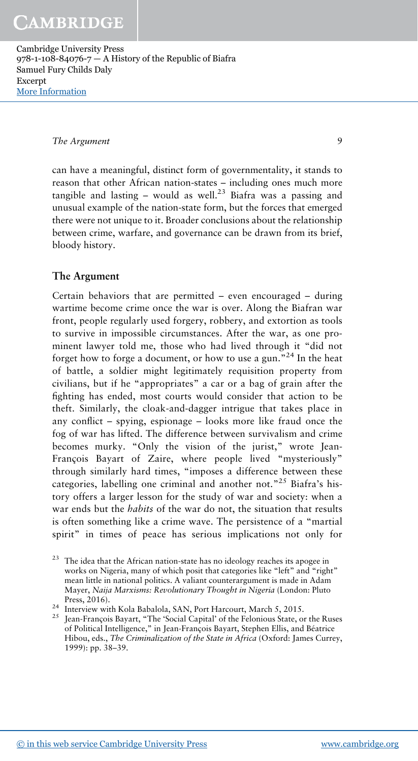#### The Argument 9

can have a meaningful, distinct form of governmentality, it stands to reason that other African nation-states – including ones much more tangible and lasting – would as well.<sup>23</sup> Biafra was a passing and unusual example of the nation-state form, but the forces that emerged there were not unique to it. Broader conclusions about the relationship between crime, warfare, and governance can be drawn from its brief, bloody history.

#### The Argument

Certain behaviors that are permitted – even encouraged – during wartime become crime once the war is over. Along the Biafran war front, people regularly used forgery, robbery, and extortion as tools to survive in impossible circumstances. After the war, as one prominent lawyer told me, those who had lived through it "did not forget how to forge a document, or how to use a gun."<sup>24</sup> In the heat of battle, a soldier might legitimately requisition property from civilians, but if he "appropriates" a car or a bag of grain after the fighting has ended, most courts would consider that action to be theft. Similarly, the cloak-and-dagger intrigue that takes place in any conflict – spying, espionage – looks more like fraud once the fog of war has lifted. The difference between survivalism and crime becomes murky. "Only the vision of the jurist," wrote Jean-François Bayart of Zaire, where people lived "mysteriously" through similarly hard times, "imposes a difference between these categories, labelling one criminal and another not."<sup>25</sup> Biafra's history offers a larger lesson for the study of war and society: when a war ends but the *habits* of the war do not, the situation that results is often something like a crime wave. The persistence of a "martial spirit" in times of peace has serious implications not only for

 $23$  The idea that the African nation-state has no ideology reaches its apogee in works on Nigeria, many of which posit that categories like "left" and "right" mean little in national politics. A valiant counterargument is made in Adam Mayer, Naija Marxisms: Revolutionary Thought in Nigeria (London: Pluto Press, 2016).

<sup>&</sup>lt;sup>24</sup> Interview with Kola Babalola, SAN, Port Harcourt, March 5, 2015.

<sup>&</sup>lt;sup>25</sup> Jean-François Bayart, "The 'Social Capital' of the Felonious State, or the Ruses of Political Intelligence," in Jean-François Bayart, Stephen Ellis, and Béatrice Hibou, eds., The Criminalization of the State in Africa (Oxford: James Currey, 1999): pp. 38–39.